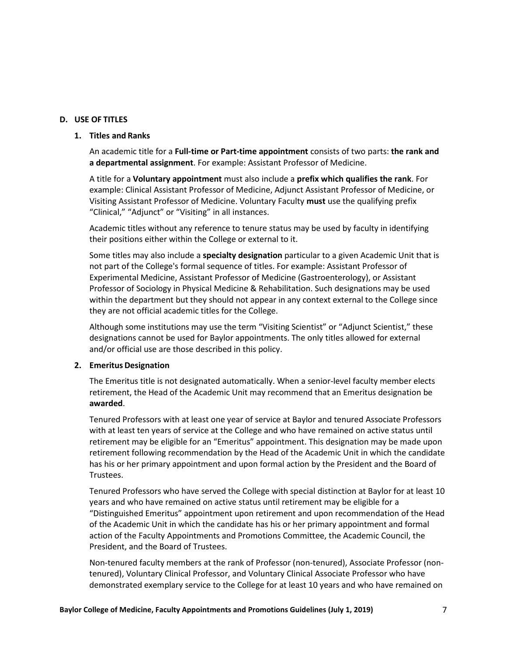## **D. USE OF TITLES**

## **1. Titles and Ranks**

An academic title for a **Full-time or Part-time appointment** consists of two parts: **the rank and a departmental assignment**. For example: Assistant Professor of Medicine.

A title for a **Voluntary appointment** must also include a **prefix which qualifies the rank**. For example: Clinical Assistant Professor of Medicine, Adjunct Assistant Professor of Medicine, or Visiting Assistant Professor of Medicine. Voluntary Faculty **must** use the qualifying prefix "Clinical," "Adjunct" or "Visiting" in all instances.

Academic titles without any reference to tenure status may be used by faculty in identifying their positions either within the College or external to it.

Some titles may also include a **specialty designation** particular to a given Academic Unit that is not part of the College's formal sequence of titles. For example: Assistant Professor of Experimental Medicine, Assistant Professor of Medicine (Gastroenterology), or Assistant Professor of Sociology in Physical Medicine & Rehabilitation. Such designations may be used within the department but they should not appear in any context external to the College since they are not official academic titles for the College.

Although some institutions may use the term "Visiting Scientist" or "Adjunct Scientist," these designations cannot be used for Baylor appointments. The only titles allowed for external and/or official use are those described in this policy.

## **2. EmeritusDesignation**

The Emeritus title is not designated automatically. When a senior-level faculty member elects retirement, the Head of the Academic Unit may recommend that an Emeritus designation be **awarded**.

Tenured Professors with at least one year of service at Baylor and tenured Associate Professors with at least ten years of service at the College and who have remained on active status until retirement may be eligible for an "Emeritus" appointment. This designation may be made upon retirement following recommendation by the Head of the Academic Unit in which the candidate has his or her primary appointment and upon formal action by the President and the Board of Trustees.

Tenured Professors who have served the College with special distinction at Baylor for at least 10 years and who have remained on active status until retirement may be eligible for a "Distinguished Emeritus" appointment upon retirement and upon recommendation of the Head of the Academic Unit in which the candidate has his or her primary appointment and formal action of the Faculty Appointments and Promotions Committee, the Academic Council, the President, and the Board of Trustees.

Non-tenured faculty members at the rank of Professor (non-tenured), Associate Professor (nontenured), Voluntary Clinical Professor, and Voluntary Clinical Associate Professor who have demonstrated exemplary service to the College for at least 10 years and who have remained on